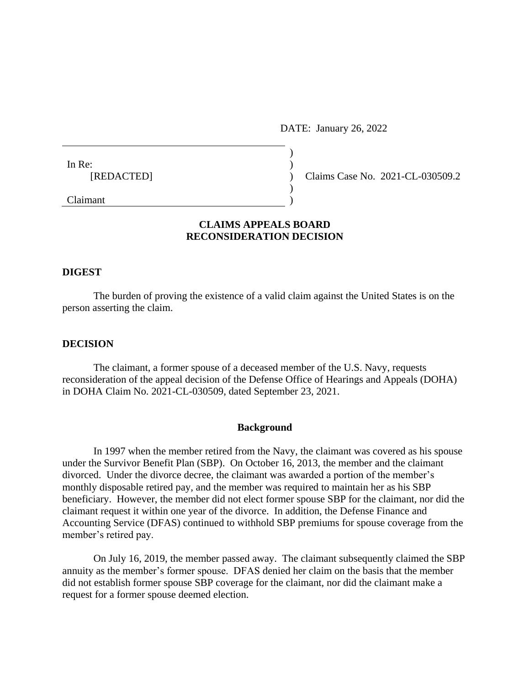DATE: January 26, 2022

| In Re:     |            |
|------------|------------|
| [REDACTED] | Claims Cas |
|            |            |
| C1         |            |

se No. 2021-CL-030509.2

Claimant )

# **CLAIMS APPEALS BOARD RECONSIDERATION DECISION**

## **DIGEST**

The burden of proving the existence of a valid claim against the United States is on the person asserting the claim.

### **DECISION**

The claimant, a former spouse of a deceased member of the U.S. Navy, requests reconsideration of the appeal decision of the Defense Office of Hearings and Appeals (DOHA) in DOHA Claim No. 2021-CL-030509, dated September 23, 2021.

### **Background**

In 1997 when the member retired from the Navy, the claimant was covered as his spouse under the Survivor Benefit Plan (SBP). On October 16, 2013, the member and the claimant divorced. Under the divorce decree, the claimant was awarded a portion of the member's monthly disposable retired pay, and the member was required to maintain her as his SBP beneficiary. However, the member did not elect former spouse SBP for the claimant, nor did the claimant request it within one year of the divorce. In addition, the Defense Finance and Accounting Service (DFAS) continued to withhold SBP premiums for spouse coverage from the member's retired pay.

On July 16, 2019, the member passed away. The claimant subsequently claimed the SBP annuity as the member's former spouse. DFAS denied her claim on the basis that the member did not establish former spouse SBP coverage for the claimant, nor did the claimant make a request for a former spouse deemed election.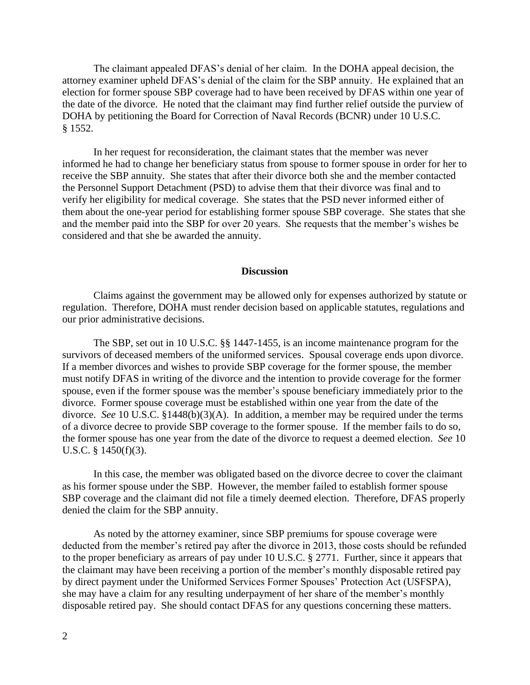The claimant appealed DFAS's denial of her claim. In the DOHA appeal decision, the attorney examiner upheld DFAS's denial of the claim for the SBP annuity. He explained that an election for former spouse SBP coverage had to have been received by DFAS within one year of the date of the divorce. He noted that the claimant may find further relief outside the purview of DOHA by petitioning the Board for Correction of Naval Records (BCNR) under 10 U.S.C. § 1552.

In her request for reconsideration, the claimant states that the member was never informed he had to change her beneficiary status from spouse to former spouse in order for her to receive the SBP annuity. She states that after their divorce both she and the member contacted the Personnel Support Detachment (PSD) to advise them that their divorce was final and to verify her eligibility for medical coverage. She states that the PSD never informed either of them about the one-year period for establishing former spouse SBP coverage. She states that she and the member paid into the SBP for over 20 years. She requests that the member's wishes be considered and that she be awarded the annuity.

#### **Discussion**

Claims against the government may be allowed only for expenses authorized by statute or regulation. Therefore, DOHA must render decision based on applicable statutes, regulations and our prior administrative decisions.

The SBP, set out in 10 U.S.C. §§ 1447-1455, is an income maintenance program for the survivors of deceased members of the uniformed services. Spousal coverage ends upon divorce. If a member divorces and wishes to provide SBP coverage for the former spouse, the member must notify DFAS in writing of the divorce and the intention to provide coverage for the former spouse, even if the former spouse was the member's spouse beneficiary immediately prior to the divorce. Former spouse coverage must be established within one year from the date of the divorce. *See* 10 U.S.C. §1448(b)(3)(A). In addition, a member may be required under the terms of a divorce decree to provide SBP coverage to the former spouse. If the member fails to do so, the former spouse has one year from the date of the divorce to request a deemed election. *See* 10 U.S.C. § 1450(f)(3).

In this case, the member was obligated based on the divorce decree to cover the claimant as his former spouse under the SBP. However, the member failed to establish former spouse SBP coverage and the claimant did not file a timely deemed election. Therefore, DFAS properly denied the claim for the SBP annuity.

As noted by the attorney examiner, since SBP premiums for spouse coverage were deducted from the member's retired pay after the divorce in 2013, those costs should be refunded to the proper beneficiary as arrears of pay under 10 U.S.C. § 2771. Further, since it appears that the claimant may have been receiving a portion of the member's monthly disposable retired pay by direct payment under the Uniformed Services Former Spouses' Protection Act (USFSPA), she may have a claim for any resulting underpayment of her share of the member's monthly disposable retired pay. She should contact DFAS for any questions concerning these matters.